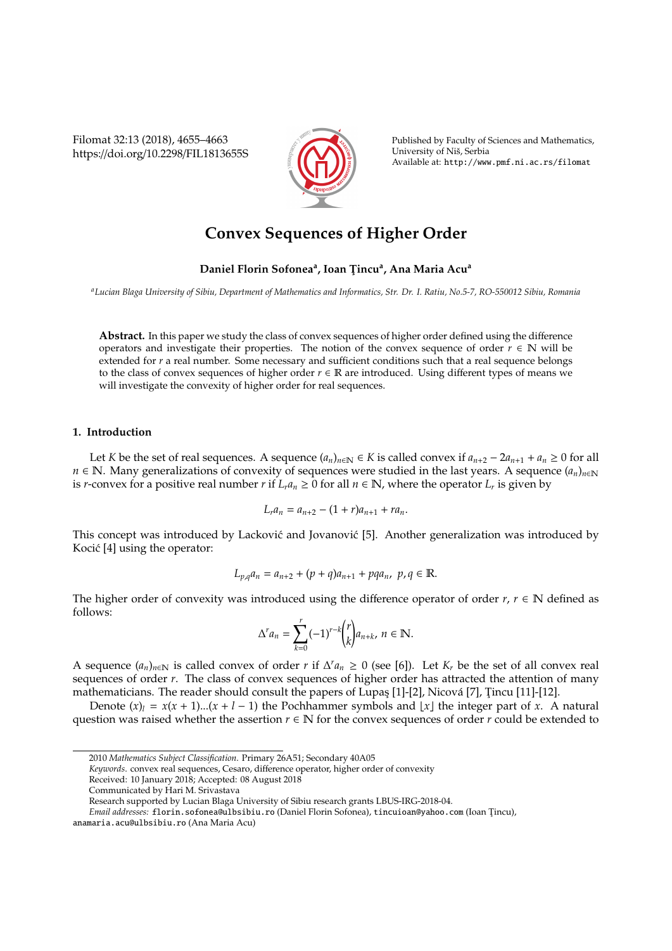Filomat 32:13 (2018), 4655–4663 https://doi.org/10.2298/FIL1813655S



Published by Faculty of Sciences and Mathematics, University of Nis, Serbia ˇ Available at: http://www.pmf.ni.ac.rs/filomat

# **Convex Sequences of Higher Order**

## **Daniel Florin Sofonea<sup>a</sup> , Ioan T¸ incu<sup>a</sup> , Ana Maria Acu<sup>a</sup>**

*<sup>a</sup>Lucian Blaga University of Sibiu, Department of Mathematics and Informatics, Str. Dr. I. Ratiu, No.5-7, RO-550012 Sibiu, Romania*

**Abstract.** In this paper we study the class of convex sequences of higher order defined using the difference operators and investigate their properties. The notion of the convex sequence of order  $r \in \mathbb{N}$  will be extended for *r* a real number. Some necessary and sufficient conditions such that a real sequence belongs to the class of convex sequences of higher order *r* ∈ R are introduced. Using different types of means we will investigate the convexity of higher order for real sequences.

### **1. Introduction**

Let *K* be the set of real sequences. A sequence  $(a_n)_{n \in \mathbb{N}}$  ∈ *K* is called convex if  $a_{n+2} - 2a_{n+1} + a_n \ge 0$  for all *n* ∈ N. Many generalizations of convexity of sequences were studied in the last years. A sequence  $(a_n)_{n\in\mathbb{N}}$ is *r*-convex for a positive real number *r* if  $L_r a_n \geq 0$  for all  $n \in \mathbb{N}$ , where the operator  $L_r$  is given by

$$
L_r a_n = a_{n+2} - (1+r)a_{n+1} + ra_n.
$$

This concept was introduced by Lacković and Jovanović [5]. Another generalization was introduced by Kocić [4] using the operator:

$$
L_{p,q}a_n = a_{n+2} + (p+q)a_{n+1} + pqa_n, p, q \in \mathbb{R}.
$$

The higher order of convexity was introduced using the difference operator of order  $r, r \in \mathbb{N}$  defined as follows:

$$
\Delta^r a_n = \sum_{k=0}^r (-1)^{r-k} {r \choose k} a_{n+k}, \ n \in \mathbb{N}.
$$

A sequence  $(a_n)_{n \in \mathbb{N}}$  is called convex of order *r* if  $\Delta^r a_n \geq 0$  (see [6]). Let  $K_r$  be the set of all convex real sequences of order *r*. The class of convex sequences of higher order has attracted the attention of many mathematicians. The reader should consult the papers of Lupas [1]-[2], Nicová [7], Tincu [11]-[12].

Denote  $(x)_l = x(x + 1)...(x + l - 1)$  the Pochhammer symbols and  $|x|$  the integer part of *x*. A natural question was raised whether the assertion  $r \in \mathbb{N}$  for the convex sequences of order *r* could be extended to

*Keywords*. convex real sequences, Cesaro, difference operator, higher order of convexity

<sup>2010</sup> *Mathematics Subject Classification*. Primary 26A51; Secondary 40A05

Received: 10 January 2018; Accepted: 08 August 2018

Communicated by Hari M. Srivastava

Research supported by Lucian Blaga University of Sibiu research grants LBUS-IRG-2018-04.

*Email addresses:* florin.sofonea@ulbsibiu.ro (Daniel Florin Sofonea), tincuioan@yahoo.com (Ioan Tincu),

anamaria.acu@ulbsibiu.ro (Ana Maria Acu)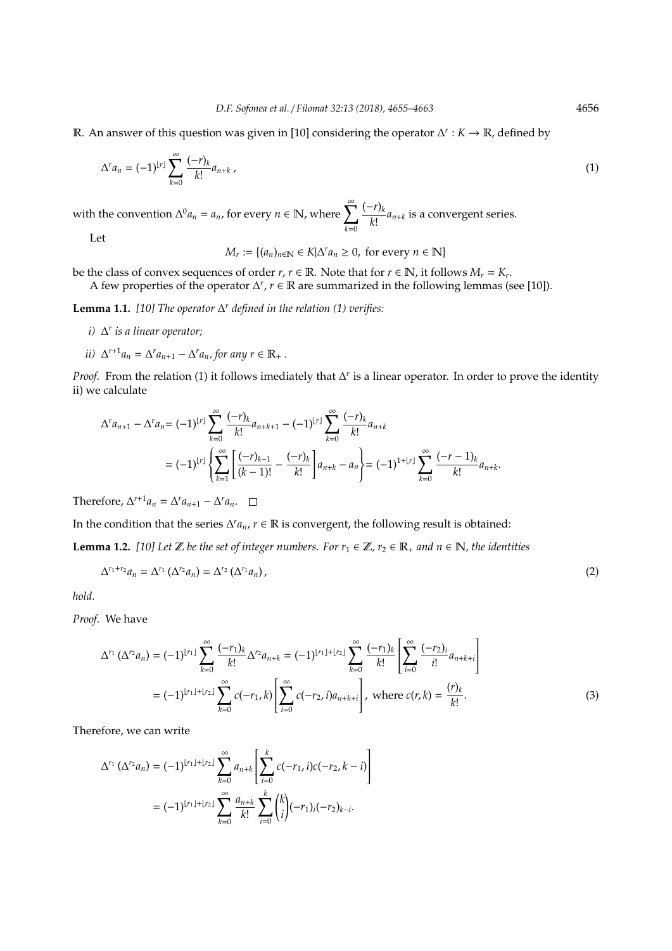R. An answer of this question was given in [10] considering the operator ∆ *r* : *K* → R, defined by

$$
\Delta^r a_n = (-1)^{|r|} \sum_{k=0}^{\infty} \frac{(-r)_k}{k!} a_{n+k} \,, \tag{1}
$$

with the convention  $\Delta^0 a_n = a_n$ , for every  $n \in \mathbb{N}$ , where  $\sum_{n=1}^{\infty} a_n$ *k*=0 (−*r*)*<sup>k</sup>*  $\frac{m}{k!} a_{n+k}$  is a convergent series. Let

 $M_r := \{(a_n)_{n \in \mathbb{N}} \in K | \Delta^r a_n \ge 0, \text{ for every } n \in \mathbb{N} \}$ 

be the class of convex sequences of order  $r, r \in \mathbb{R}$ . Note that for  $r \in \mathbb{N}$ , it follows  $M_r = K_r$ .

A few properties of the operator  $\Delta^r$ , *r* ∈ R are summarized in the following lemmas (see [10]).

**Lemma 1.1.** *[10] The operator* ∆ *<sup>r</sup> defined in the relation (1) verifies:*

- *i)* ∆ *r is a linear operator;*
- *ii*)  $\Delta^{r+1}a_n = \Delta^r a_{n+1} \Delta^r a_n$ , for any  $r \in \mathbb{R}_+$ .

*Proof.* From the relation (1) it follows imediately that ∆' is a linear operator. In order to prove the identity ii) we calculate

$$
\Delta^{r} a_{n+1} - \Delta^{r} a_n = (-1)^{\lfloor r \rfloor} \sum_{k=0}^{\infty} \frac{(-r)_k}{k!} a_{n+k+1} - (-1)^{\lfloor r \rfloor} \sum_{k=0}^{\infty} \frac{(-r)_k}{k!} a_{n+k}
$$
  
=  $(-1)^{\lfloor r \rfloor} \left\{ \sum_{k=1}^{\infty} \left[ \frac{(-r)_{k-1}}{(k-1)!} - \frac{(-r)_k}{k!} \right] a_{n+k} - a_n \right\} = (-1)^{1+\lfloor r \rfloor} \sum_{k=0}^{\infty} \frac{(-r-1)_k}{k!} a_{n+k}.$ 

Therefore,  $\Delta^{r+1}a_n = \Delta^r a_{n+1} - \Delta^r a_n$ .

In the condition that the series  $\Delta^r a_n$ ,  $r \in \mathbb{R}$  is convergent, the following result is obtained:

**Lemma 1.2.** [10] Let  $\mathbb{Z}$  be the set of integer numbers. For  $r_1 \in \mathbb{Z}$ ,  $r_2 \in \mathbb{R}_+$  and  $n \in \mathbb{N}$ , the identities

$$
\Delta^{r_1+r_2}a_n = \Delta^{r_1}(\Delta^{r_2}a_n) = \Delta^{r_2}(\Delta^{r_1}a_n), \qquad (2)
$$

*hold.*

*Proof.* We have

$$
\Delta^{r_1} \left( \Delta^{r_2} a_n \right) = (-1)^{\lfloor r_1 \rfloor} \sum_{k=0}^{\infty} \frac{(-r_1)_k}{k!} \Delta^{r_2} a_{n+k} = (-1)^{\lfloor r_1 \rfloor + \lfloor r_2 \rfloor} \sum_{k=0}^{\infty} \frac{(-r_1)_k}{k!} \left[ \sum_{i=0}^{\infty} \frac{(-r_2)_i}{i!} a_{n+k+i} \right]
$$
  
=  $(-1)^{\lfloor r_1 \rfloor + \lfloor r_2 \rfloor} \sum_{k=0}^{\infty} c(-r_1, k) \left[ \sum_{i=0}^{\infty} c(-r_2, i) a_{n+k+i} \right],$  where  $c(r, k) = \frac{(r)_k}{k!}.$  (3)

Therefore, we can write

$$
\Delta^{r_1} (\Delta^{r_2} a_n) = (-1)^{\lfloor r_1 \rfloor + \lfloor r_2 \rfloor} \sum_{k=0}^{\infty} a_{n+k} \left[ \sum_{i=0}^{k} c(-r_1, i) c(-r_2, k - i) \right]
$$
  
=  $(-1)^{\lfloor r_1 \rfloor + \lfloor r_2 \rfloor} \sum_{k=0}^{\infty} \frac{a_{n+k}}{k!} \sum_{i=0}^{k} {k \choose i} (-r_1)_i (-r_2)_{k-i}.$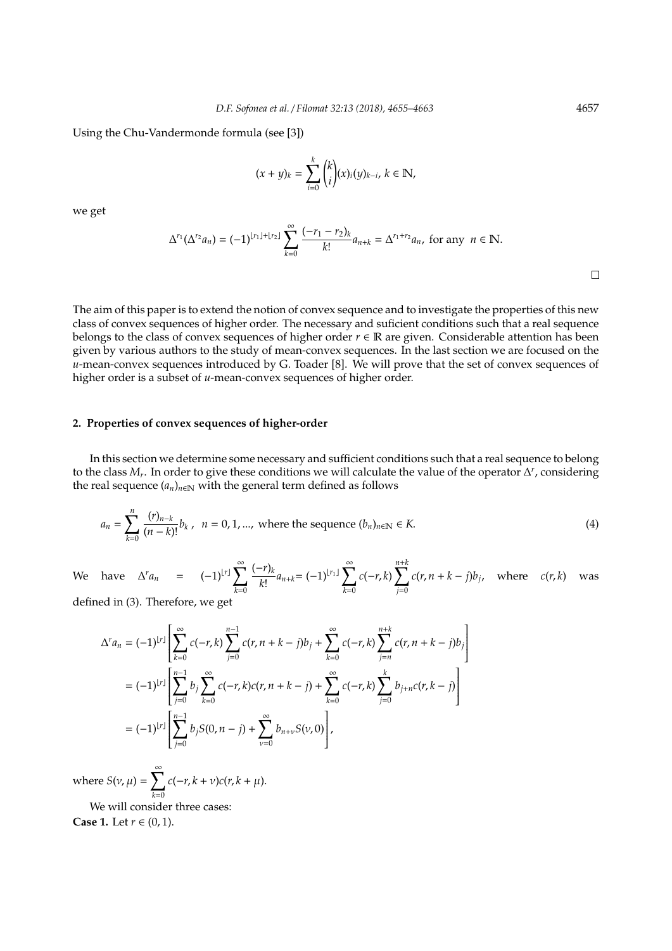Using the Chu-Vandermonde formula (see [3])

$$
(x + y)_k = \sum_{i=0}^k {k \choose i} (x)_i (y)_{k-i}, \ k \in \mathbb{N},
$$

we get

$$
\Delta^{r_1}(\Delta^{r_2}a_n) = (-1)^{\lfloor r_1 \rfloor + \lfloor r_2 \rfloor} \sum_{k=0}^{\infty} \frac{(-r_1 - r_2)_k}{k!} a_{n+k} = \Delta^{r_1 + r_2} a_n, \text{ for any } n \in \mathbb{N}.
$$

The aim of this paper is to extend the notion of convex sequence and to investigate the properties of this new class of convex sequences of higher order. The necessary and suficient conditions such that a real sequence belongs to the class of convex sequences of higher order  $r \in \mathbb{R}$  are given. Considerable attention has been given by various authors to the study of mean-convex sequences. In the last section we are focused on the *u*-mean-convex sequences introduced by G. Toader [8]. We will prove that the set of convex sequences of higher order is a subset of *u*-mean-convex sequences of higher order.

#### **2. Properties of convex sequences of higher-order**

In this section we determine some necessary and sufficient conditions such that a real sequence to belong to the class  $M_r$ . In order to give these conditions we will calculate the value of the operator  $\Delta^r$ , considering the real sequence  $(a_n)_{n \in \mathbb{N}}$  with the general term defined as follows

$$
a_n = \sum_{k=0}^n \frac{(r)_{n-k}}{(n-k)!} b_k, \ \ n = 0, 1, ..., \text{ where the sequence } (b_n)_{n \in \mathbb{N}} \in K. \tag{4}
$$

We have  $\Delta^r a_n = (-1)^{\lfloor r \rfloor} \sum_{n=1}^{\infty}$ *k*=0 (−*r*)*<sup>k</sup>*  $\frac{(n-r)_k}{k!} a_{n+k} = (-1)^{\lfloor r_1 \rfloor} \sum_{k=0}^{\infty}$ *k*=0  $c(-r, k)$ *j*=0  $c(r, n + k - j)b_j$ , where  $c(r, k)$  was defined in (3). Therefore, we get

 $\Delta^r a_n = (-1)^{\lfloor r \rfloor}$  $\int_{\infty}^{\infty}$  $\overline{\mathsf{l}}$ *k*=0  $c(-r, k)$   $\sum_{n=1}^{n-1}$ *j*=0  $c(r, n + k - j)b_j + \sum_{k=1}^{\infty}$ *k*=0  $c(-r, k)$ *j*=*n c*(*r*, *n* + *k* − *j*)*b<sup>j</sup>* 1  $\begin{array}{c} \n \downarrow \n \downarrow \n \end{array}$  $= (-1)^{\lfloor r \rfloor}$  X*n*−1  $\overline{\mathsf{l}}$ *j*=0  $b_j \sum_{i=1}^{\infty}$ *k*=0  $c(-r, k)c(r, n + k - j) + \sum_{k=1}^{\infty}$ *k*=0  $c(-r, k)$ *j*=0  $b_{j+n}c(r, k-j)$ 1  $\overline{\phantom{a}}$  $= (-1)^{\lfloor r \rfloor}$  X*n*−1  $\overline{\mathsf{l}}$ *j*=0 *b*<sub>*j*</sub>*S*(0, *n* − *j*) +  $\sum_{n=1}^{\infty}$ ν=0  $b_{n+\nu}S(\nu,0)$ 1  $\begin{array}{c} \n \downarrow \\ \n \downarrow \n \end{array}$ ,

where  $S(v, \mu) = \sum_{n=0}^{\infty}$ *k*=0  $c(-r, k + v)c(r, k + \mu).$ 

We will consider three cases: **Case 1.** Let *r* ∈ (0, 1).

 $\Box$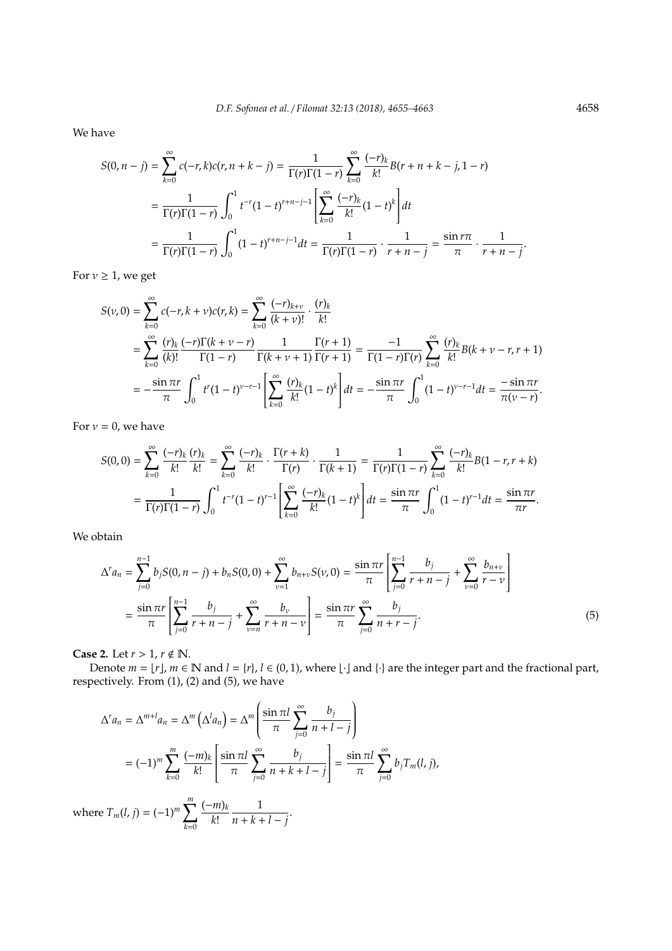We have

$$
S(0, n - j) = \sum_{k=0}^{\infty} c(-r, k)c(r, n + k - j) = \frac{1}{\Gamma(r)\Gamma(1 - r)} \sum_{k=0}^{\infty} \frac{(-r)_k}{k!} B(r + n + k - j, 1 - r)
$$
  
= 
$$
\frac{1}{\Gamma(r)\Gamma(1 - r)} \int_0^1 t^{-r} (1 - t)^{r+n-j-1} \left[ \sum_{k=0}^{\infty} \frac{(-r)_k}{k!} (1 - t)^k \right] dt
$$
  
= 
$$
\frac{1}{\Gamma(r)\Gamma(1 - r)} \int_0^1 (1 - t)^{r+n-j-1} dt = \frac{1}{\Gamma(r)\Gamma(1 - r)} \cdot \frac{1}{r + n - j} = \frac{\sin r\pi}{\pi} \cdot \frac{1}{r + n - j}.
$$

For  $v \geq 1$ , we get

$$
S(\nu,0) = \sum_{k=0}^{\infty} c(-r,k+\nu)c(r,k) = \sum_{k=0}^{\infty} \frac{(-r)_{k+\nu}}{(k+\nu)!} \cdot \frac{(r)_k}{k!}
$$
  
= 
$$
\sum_{k=0}^{\infty} \frac{(r)_k}{(k)!} \frac{(-r)\Gamma(k+\nu-r)}{\Gamma(1-r)} \frac{1}{\Gamma(k+\nu+1)} \frac{\Gamma(r+1)}{\Gamma(r+1)} = \frac{-1}{\Gamma(1-r)\Gamma(r)} \sum_{k=0}^{\infty} \frac{(r)_k}{k!} B(k+\nu-r,r+1)
$$
  
= 
$$
-\frac{\sin \pi r}{\pi} \int_0^1 t^r (1-t)^{\nu-r-1} \left[ \sum_{k=0}^{\infty} \frac{(r)_k}{k!} (1-t)^k \right] dt = -\frac{\sin \pi r}{\pi} \int_0^1 (1-t)^{\nu-r-1} dt = \frac{-\sin \pi r}{\pi(\nu-r)}.
$$

For  $v = 0$ , we have

$$
S(0,0) = \sum_{k=0}^{\infty} \frac{(-r)_k}{k!} \frac{(r)_k}{k!} = \sum_{k=0}^{\infty} \frac{(-r)_k}{k!} \cdot \frac{\Gamma(r+k)}{\Gamma(r)} \cdot \frac{1}{\Gamma(k+1)} = \frac{1}{\Gamma(r)\Gamma(1-r)} \sum_{k=0}^{\infty} \frac{(-r)_k}{k!} B(1-r,r+k)
$$
  
= 
$$
\frac{1}{\Gamma(r)\Gamma(1-r)} \int_0^1 t^{-r} (1-t)^{r-1} \left[ \sum_{k=0}^{\infty} \frac{(-r)_k}{k!} (1-t)^k \right] dt = \frac{\sin \pi r}{\pi} \int_0^1 (1-t)^{r-1} dt = \frac{\sin \pi r}{\pi r}.
$$

We obtain

$$
\Delta^{r} a_{n} = \sum_{j=0}^{n-1} b_{j} S(0, n-j) + b_{n} S(0, 0) + \sum_{\nu=1}^{\infty} b_{n+\nu} S(\nu, 0) = \frac{\sin \pi r}{\pi} \left[ \sum_{j=0}^{n-1} \frac{b_{j}}{r+n-j} + \sum_{\nu=0}^{\infty} \frac{b_{n+\nu}}{r-\nu} \right]
$$

$$
= \frac{\sin \pi r}{\pi} \left[ \sum_{j=0}^{n-1} \frac{b_{j}}{r+n-j} + \sum_{\nu=n}^{\infty} \frac{b_{\nu}}{r+n-\nu} \right] = \frac{\sin \pi r}{\pi} \sum_{j=0}^{\infty} \frac{b_{j}}{n+r-j}.
$$
(5)

**Case 2.** Let  $r > 1$ ,  $r \notin \mathbb{N}$ .

Denote  $m = \lfloor r \rfloor$ ,  $m \in \mathbb{N}$  and  $l = \{r\}$ ,  $l \in (0, 1)$ , where  $\lfloor \cdot \rfloor$  and  $\{\cdot\}$  are the integer part and the fractional part, respectively. From (1), (2) and (5), we have

$$
\Delta^{r} a_{n} = \Delta^{m+l} a_{n} = \Delta^{m} \left( \Delta^{l} a_{n} \right) = \Delta^{m} \left( \frac{\sin \pi l}{\pi} \sum_{j=0}^{\infty} \frac{b_{j}}{n+l-j} \right)
$$

$$
= (-1)^{m} \sum_{k=0}^{m} \frac{(-m)_{k}}{k!} \left[ \frac{\sin \pi l}{\pi} \sum_{j=0}^{\infty} \frac{b_{j}}{n+k+l-j} \right] = \frac{\sin \pi l}{\pi} \sum_{j=0}^{\infty} b_{j} T_{m}(l, j),
$$

where  $T_m(l, j) = (-1)^m \sum_{i=1}^m j_i$ *k*=0 (−*m*)*<sup>k</sup> k*! 1  $\frac{1}{n+k+l-j}$ .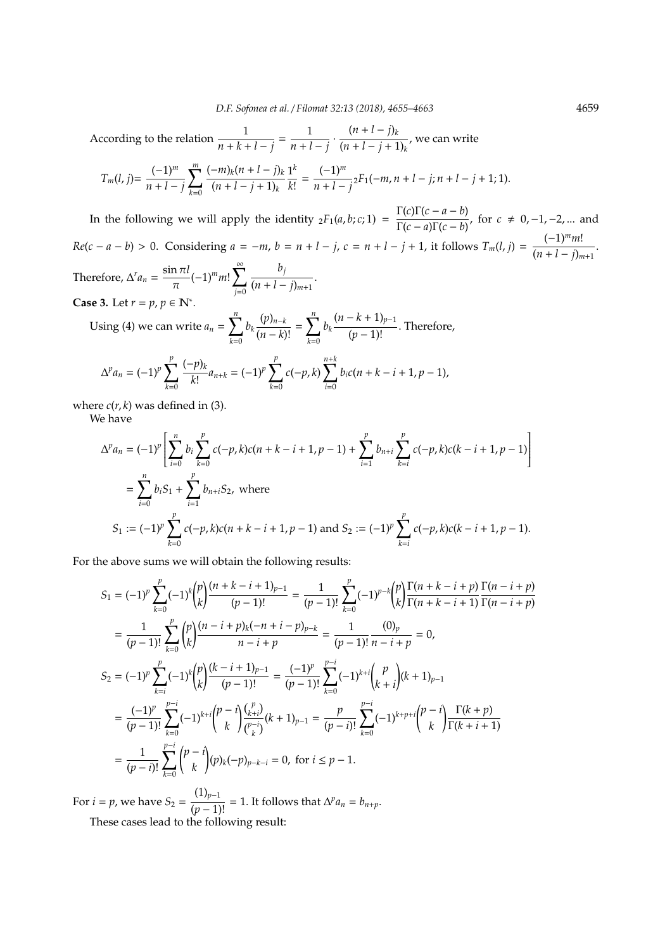According to the relation  $\frac{1}{n+k+l-j} = \frac{1}{n+l}$  $\frac{1}{n+l-j}$  ·  $\frac{(n+l-j)_{k}}{(n+l-j+1)}$  $\frac{(n+l-j+1)k}{(n+l-j+1)k}$ , we can write

$$
T_m(l,j) = \frac{(-1)^m}{n+l-j} \sum_{k=0}^m \frac{(-m)_k (n+l-j)_k}{(n+l-j+1)_k} \frac{1^k}{k!} = \frac{(-1)^m}{n+l-j} {}_2F_1(-m,n+l-j;n+l-j+1;1).
$$

In the following we will apply the identity  ${}_2F_1(a, b; c; 1) = \frac{\Gamma(c)\Gamma(c - a - b)}{\Gamma(c - a)\Gamma(c - b)}$  $\frac{\Gamma(c) \Gamma(c - a - b)}{\Gamma(c - a) \Gamma(c - b)}$ , for  $c \neq 0, -1, -2, ...$  and  $Re(c - a - b) > 0$ . Considering  $a = -m$ ,  $b = n + l - j$ ,  $c = n + l - j + 1$ , it follows  $T_m(l, j) = \frac{(-1)^m m!}{(m + l - j)}$  $\frac{(n+l-j)m}{(n+l-j)_{m+1}}$ . Therefore,  $\Delta^r a_n = \frac{\sin \pi l}{\pi}$  $\frac{\pi}{\pi}$ (-1)<sup>*m*</sup>*m*! $\sum_{i=0}^{\infty}$ *j*=0 *bj*  $\frac{(n+l-j)_{m+1}}{(n+l-j)_{m+1}}$ 

**Case 3.** Let  $r = p$ ,  $p \in \mathbb{N}^*$ .

Using (4) we can write 
$$
a_n = \sum_{k=0}^n b_k \frac{(p)_{n-k}}{(n-k)!} = \sum_{k=0}^n b_k \frac{(n-k+1)_{p-1}}{(p-1)!}
$$
. Therefore,

$$
\Delta^p a_n = (-1)^p \sum_{k=0}^p \frac{(-p)_k}{k!} a_{n+k} = (-1)^p \sum_{k=0}^p c(-p,k) \sum_{i=0}^{n+k} b_i c(n+k-i+1, p-1),
$$

where  $c(r, k)$  was defined in (3).

We have

$$
\Delta^p a_n = (-1)^p \left[ \sum_{i=0}^n b_i \sum_{k=0}^p c(-p, k) c(n + k - i + 1, p - 1) + \sum_{i=1}^p b_{n+i} \sum_{k=i}^p c(-p, k) c(k - i + 1, p - 1) \right]
$$
  
= 
$$
\sum_{i=0}^n b_i S_1 + \sum_{i=1}^p b_{n+i} S_2, \text{ where}
$$
  

$$
S_1 := (-1)^p \sum_{k=0}^p c(-p, k) c(n + k - i + 1, p - 1) \text{ and } S_2 := (-1)^p \sum_{k=i}^p c(-p, k) c(k - i + 1, p - 1).
$$

For the above sums we will obtain the following results:

$$
S_{1} = (-1)^{p} \sum_{k=0}^{p} (-1)^{k} {p \choose k} \frac{(n+k-i+1)_{p-1}}{(p-1)!} = \frac{1}{(p-1)!} \sum_{k=0}^{p} (-1)^{p-k} {p \choose k} \frac{\Gamma(n+k-i+p)}{\Gamma(n+k-i+1)} \frac{\Gamma(n-i+p)}{\Gamma(n-i+p)}
$$
  
\n
$$
= \frac{1}{(p-1)!} \sum_{k=0}^{p} {p \choose k} \frac{(n-i+p)_{k}(-n+i-p)_{p-k}}{n-i+p} = \frac{1}{(p-1)!} \frac{(0)_p}{n-i+p} = 0,
$$
  
\n
$$
S_{2} = (-1)^{p} \sum_{k=i}^{p} (-1)^{k} {p \choose k} \frac{(k-i+1)_{p-1}}{(p-1)!} = \frac{(-1)^{p}}{(p-1)!} \sum_{k=0}^{p-i} (-1)^{k+i} {p \choose k+i} (k+1)_{p-1}
$$
  
\n
$$
= \frac{(-1)^{p}}{(p-1)!} \sum_{k=0}^{p-i} (-1)^{k+i} {p-i \choose k} \frac{\binom{p}{k+i}}{\binom{p-i}{k}} (k+1)_{p-1} = \frac{p}{(p-i)!} \sum_{k=0}^{p-i} (-1)^{k+p+i} {p-i \choose k} \frac{\Gamma(k+p)}{\Gamma(k+i+1)}
$$
  
\n
$$
= \frac{1}{(p-i)!} \sum_{k=0}^{p-i} {p-i \choose k} (p)_{k}(-p)_{p-k-i} = 0, \text{ for } i \leq p-1.
$$

For *i* = *p*, we have  $S_2 = \frac{(1)_{p-1}}{(p-1)!} = 1$ . It follows that  $\Delta^p a_n = b_{n+p}$ . These cases lead to the following result: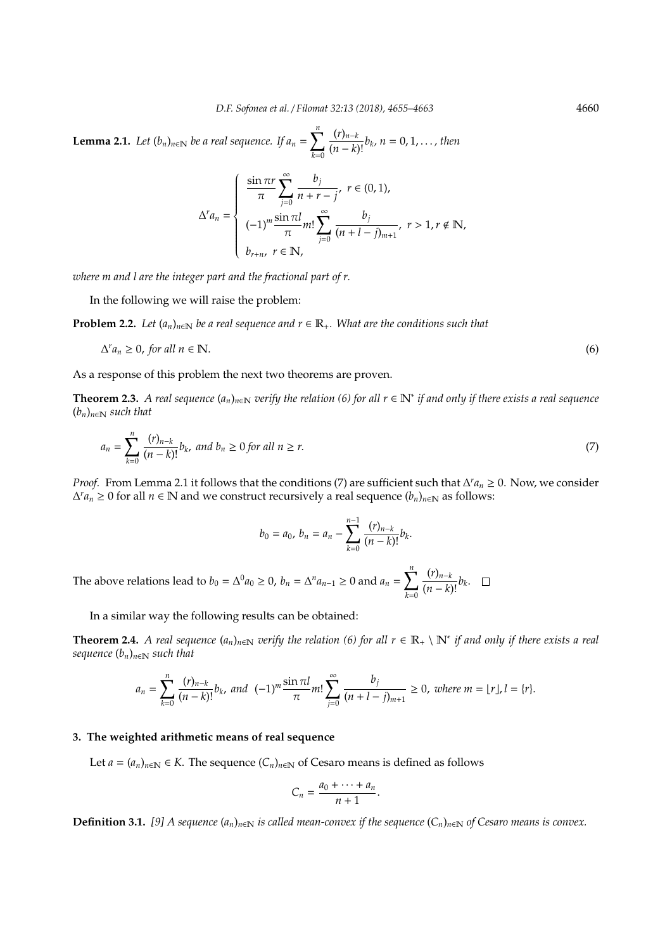**Lemma 2.1.** *Let*  $(b_n)_{n \in \mathbb{N}}$  *be a real sequence. If*  $a_n = \sum_{n=1}^n$ *k*=0 (*r*)*n*−*<sup>k</sup>* (*<sup>n</sup>* <sup>−</sup> *<sup>k</sup>*)! *<sup>b</sup><sup>k</sup> , n* = 0, 1, . . . *, then*

$$
\Delta^{r} a_{n} = \begin{cases}\n\frac{\sin \pi r}{\pi} \sum_{j=0}^{\infty} \frac{b_{j}}{n+r-j}, & r \in (0,1), \\
(-1)^{m} \frac{\sin \pi l}{\pi} m! \sum_{j=0}^{\infty} \frac{b_{j}}{(n+l-j)_{m+1}}, & r > 1, r \notin \mathbb{N}, \\
b_{r+n}, & r \in \mathbb{N},\n\end{cases}
$$

*where m and l are the integer part and the fractional part of r.*

In the following we will raise the problem:

**Problem 2.2.** *Let*  $(a_n)_{n\in\mathbb{N}}$  *be a real sequence and r*  $\in \mathbb{R}_+$ *. What are the conditions such that* 

$$
\Delta^r a_n \ge 0, \text{ for all } n \in \mathbb{N}.\tag{6}
$$

As a response of this problem the next two theorems are proven.

**Theorem 2.3.** A real sequence  $(a_n)_{n \in \mathbb{N}}$  verify the relation (6) for all  $r \in \mathbb{N}^*$  if and only if there exists a real sequence  $(b_n)_{n\in\mathbb{N}}$  *such that* 

$$
a_n = \sum_{k=0}^n \frac{(r)_{n-k}}{(n-k)!} b_k, \text{ and } b_n \ge 0 \text{ for all } n \ge r.
$$
 (7)

*Proof.* From Lemma 2.1 it follows that the conditions (7) are sufficient such that  $\Delta^r a_n \geq 0$ . Now, we consider  $\Delta^r a_n$  ≥ 0 for all  $n \in \mathbb{N}$  and we construct recursively a real sequence  $(b_n)_{n \in \mathbb{N}}$  as follows:

$$
b_0 = a_0, \, b_n = a_n - \sum_{k=0}^{n-1} \frac{(r)_{n-k}}{(n-k)!} b_k.
$$

The above relations lead to  $b_0 = \Delta^0 a_0 \ge 0$ ,  $b_n = \Delta^n a_{n-1} \ge 0$  and  $a_n = \sum_{n=1}^n a_n$ *k*=0  $\frac{(r)_{n-k}}{(n-k)!}b_k$ .

In a similar way the following results can be obtained:

**Theorem 2.4.** *A real sequence*  $(a_n)_{n\in\mathbb{N}}$  *verify the relation* (6) for all  $r \in \mathbb{R}_+ \setminus \mathbb{N}^*$  *if and only if there exists a real sequence*  $(b_n)_{n \in \mathbb{N}}$  *such that* 

$$
a_n = \sum_{k=0}^n \frac{(r)_{n-k}}{(n-k)!} b_k, \text{ and } (-1)^m \frac{\sin \pi l}{\pi} m! \sum_{j=0}^\infty \frac{b_j}{(n+l-j)_{m+1}} \ge 0, \text{ where } m = \lfloor r \rfloor, l = \{r\}.
$$

## **3. The weighted arithmetic means of real sequence**

Let  $a = (a_n)_{n \in \mathbb{N}} \in K$ . The sequence  $(C_n)_{n \in \mathbb{N}}$  of Cesaro means is defined as follows

$$
C_n=\frac{a_0+\cdots+a_n}{n+1}.
$$

**Definition 3.1.** [9] A sequence  $(a_n)_{n \in \mathbb{N}}$  is called mean-convex if the sequence  $(C_n)_{n \in \mathbb{N}}$  of Cesaro means is convex.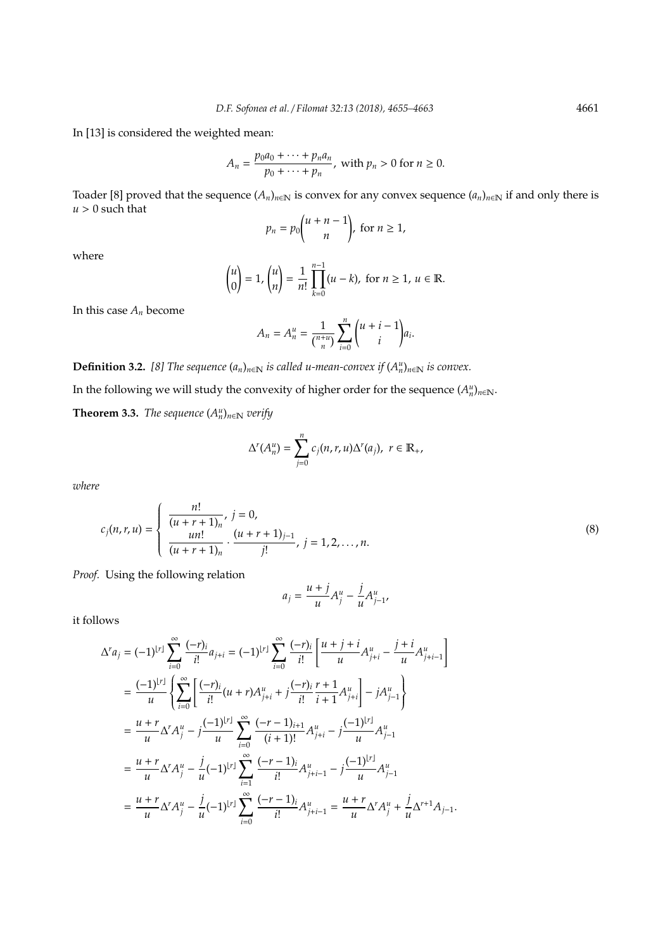In [13] is considered the weighted mean:

$$
A_n = \frac{p_0 a_0 + \dots + p_n a_n}{p_0 + \dots + p_n}, \text{ with } p_n > 0 \text{ for } n \ge 0.
$$

Toader [8] proved that the sequence  $(A_n)_{n\in\mathbb{N}}$  is convex for any convex sequence  $(a_n)_{n\in\mathbb{N}}$  if and only there is  $u > 0$  such that

$$
p_n = p_0 \binom{n+n-1}{n}, \text{ for } n \ge 1,
$$

where

$$
\binom{u}{0} = 1, \binom{u}{n} = \frac{1}{n!} \prod_{k=0}^{n-1} (u - k), \text{ for } n \ge 1, u \in \mathbb{R}.
$$

In this case *A<sup>n</sup>* become

$$
A_n = A_n^u = \frac{1}{\binom{n+u}{n}} \sum_{i=0}^n \binom{u+i-1}{i} a_i.
$$

**Definition 3.2.** *[8] The sequence*  $(a_n)_{n \in \mathbb{N}}$  *is called u-mean-convex if*  $(A_n^u)_{n \in \mathbb{N}}$  *is convex.* 

In the following we will study the convexity of higher order for the sequence  $(A_n^u)_{n\in\mathbb{N}}$ .

**Theorem 3.3.** *The sequence*  $(A_n^u)_{n \in \mathbb{N}}$  *verify* 

$$
\Delta^{r}(A_{n}^{u})=\sum_{j=0}^{n}c_{j}(n,r,u)\Delta^{r}(a_{j}),\ r\in\mathbb{R}_{+},
$$

*where*

$$
c_j(n,r,u) = \begin{cases} \frac{n!}{(u+r+1)_n}, & j=0, \\ \frac{un!}{(u+r+1)_n} \cdot \frac{(u+r+1)_{j-1}}{j!}, & j=1,2,\ldots,n. \end{cases}
$$
(8)

*Proof.* Using the following relation

$$
a_j = \frac{u+j}{u}A_j^u - \frac{j}{u}A_{j-1}^u,
$$

it follows

$$
\Delta^{r} a_{j} = (-1)^{|r|} \sum_{i=0}^{\infty} \frac{(-r)_{i}}{i!} a_{j+i} = (-1)^{|r|} \sum_{i=0}^{\infty} \frac{(-r)_{i}}{i!} \left[ \frac{u+j+i}{u} A^{u}_{j+i} - \frac{j+i}{u} A^{u}_{j+i-1} \right]
$$
  
\n
$$
= \frac{(-1)^{|r|}}{u} \left\{ \sum_{i=0}^{\infty} \left[ \frac{(-r)_{i}}{i!} (u+r) A^{u}_{j+i} + j \frac{(-r)_{i}}{i!} \frac{r+1}{i+1} A^{u}_{j+i} \right] - j A^{u}_{j-1} \right\}
$$
  
\n
$$
= \frac{u+r}{u} \Delta^{r} A^{u}_{j} - j \frac{(-1)^{|r|}}{u} \sum_{i=0}^{\infty} \frac{(-r-1)_{i+1}}{(i+1)!} A^{u}_{j+i} - j \frac{(-1)^{|r|}}{u} A^{u}_{j-1}
$$
  
\n
$$
= \frac{u+r}{u} \Delta^{r} A^{u}_{j} - \frac{j}{u} (-1)^{|r|} \sum_{i=1}^{\infty} \frac{(-r-1)_{i}}{i!} A^{u}_{j+i-1} - j \frac{(-1)^{|r|}}{u} A^{u}_{j-1}
$$
  
\n
$$
= \frac{u+r}{u} \Delta^{r} A^{u}_{j} - \frac{j}{u} (-1)^{|r|} \sum_{i=0}^{\infty} \frac{(-r-1)_{i}}{i!} A^{u}_{j+i-1} = \frac{u+r}{u} \Delta^{r} A^{u}_{j} + \frac{j}{u} \Delta^{r+1} A_{j-1}.
$$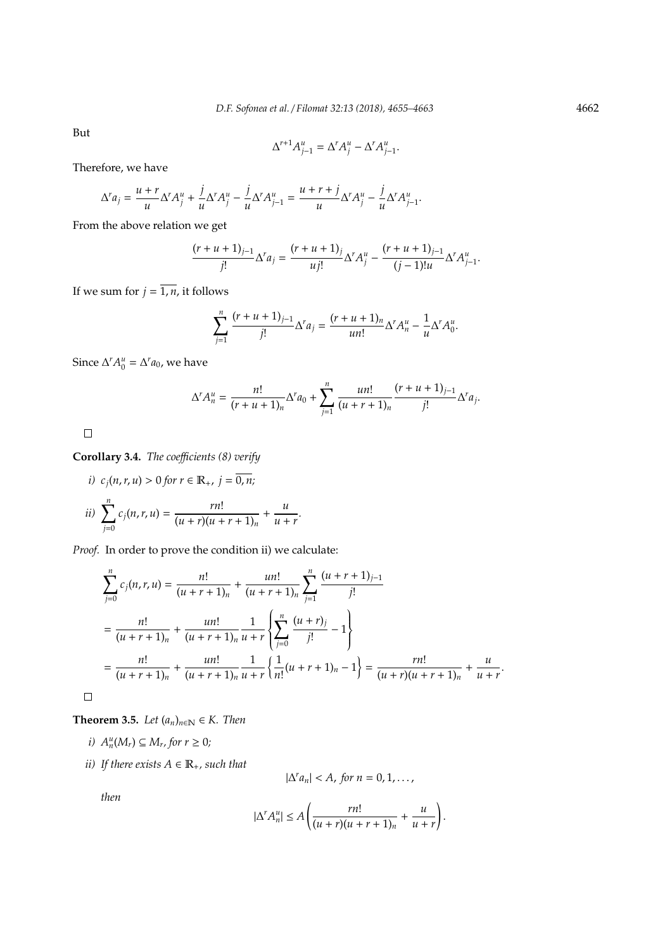But

$$
\Delta^{r+1}A_{j-1}^u = \Delta^r A_j^u - \Delta^r A_{j-1}^u.
$$

Therefore, we have

$$
\Delta^r a_j = \frac{u+r}{u} \Delta^r A_j^u + \frac{j}{u} \Delta^r A_j^u - \frac{j}{u} \Delta^r A_{j-1}^u = \frac{u+r+j}{u} \Delta^r A_j^u - \frac{j}{u} \Delta^r A_{j-1}^u.
$$

From the above relation we get

$$
\frac{(r+u+1)_{j-1}}{j!} \Delta^r a_j = \frac{(r+u+1)_j}{u j!} \Delta^r A_j^u - \frac{(r+u+1)_{j-1}}{(j-1)!u} \Delta^r A_{j-1}^u.
$$

If we sum for  $j = \overline{1, n}$ , it follows

$$
\sum_{j=1}^{n} \frac{(r+u+1)_{j-1}}{j!} \Delta^{r} a_j = \frac{(r+u+1)_{n}}{un!} \Delta^{r} A_{n}^{u} - \frac{1}{u} \Delta^{r} A_{0}^{u}.
$$

Since  $\Delta^r A_0^u = \Delta^r a_0$ , we have

$$
\Delta^r A_n^u = \frac{n!}{(r+u+1)_n} \Delta^r a_0 + \sum_{j=1}^n \frac{un!}{(u+r+1)_n} \frac{(r+u+1)_{j-1}}{j!} \Delta^r a_j.
$$

 $\Box$ 

**Corollary 3.4.** *The coefficients (8) verify* 

*i)* 
$$
c_j(n, r, u) > 0
$$
 for  $r \in \mathbb{R}_+$ ,  $j = \overline{0, n}$ ;  
\n*ii)* 
$$
\sum_{j=0}^{n} c_j(n, r, u) = \frac{rn!}{(u + r)(u + r + 1)_n} + \frac{u}{u + r}.
$$

*Proof.* In order to prove the condition ii) we calculate:

$$
\sum_{j=0}^{n} c_j(n, r, u) = \frac{n!}{(u + r + 1)_n} + \frac{u n!}{(u + r + 1)_n} \sum_{j=1}^{n} \frac{(u + r + 1)_{j-1}}{j!}
$$
  
= 
$$
\frac{n!}{(u + r + 1)_n} + \frac{u n!}{(u + r + 1)_n} \frac{1}{u + r} \left\{ \sum_{j=0}^{n} \frac{(u + r)_j}{j!} - 1 \right\}
$$
  
= 
$$
\frac{n!}{(u + r + 1)_n} + \frac{u n!}{(u + r + 1)_n} \frac{1}{u + r} \left\{ \frac{1}{n!} (u + r + 1)_n - 1 \right\} = \frac{r n!}{(u + r)(u + r + 1)_n} + \frac{u}{u + r}.
$$

**Theorem 3.5.** *Let*  $(a_n)_{n \in \mathbb{N}} \in K$ *. Then* 

- *i*)  $A_n^u(M_r) ⊆ M_r$ , for  $r ≥ 0$ ;
- *ii*) If there exists  $A \in \mathbb{R}_+$ , such that

$$
|\Delta^r a_n| < A, \text{ for } n = 0, 1, \ldots,
$$

*then*

 $\Box$ 

$$
|\Delta^r A_n^u| \le A \left( \frac{rn!}{(u+r)(u+r+1)_n} + \frac{u}{u+r} \right).
$$